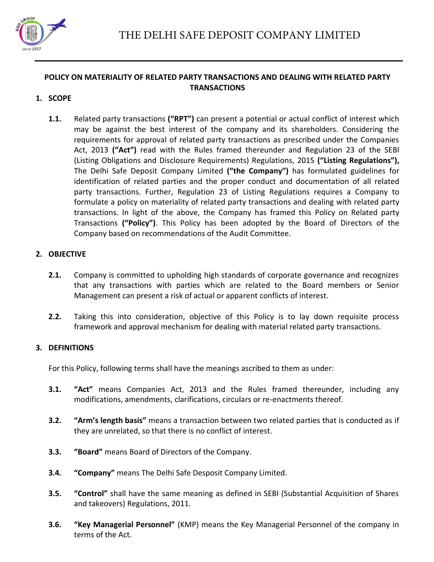

# **POLICY ON MATERIALITY OF RELATED PARTY TRANSACTIONS AND DEALING WITH RELATED PARTY TRANSACTIONS**

## **1. SCOPE**

**1.1.** Related party transactions **("RPT")** can present a potential or actual conflict of interest which may be against the best interest of the company and its shareholders. Considering the requirements for approval of related party transactions as prescribed under the Companies Act, 2013 **("Act")** read with the Rules framed thereunder and Regulation 23 of the SEBI (Listing Obligations and Disclosure Requirements) Regulations, 2015 **("Listing Regulations"),**  The Delhi Safe Deposit Company Limited **("the Company")** has formulated guidelines for identification of related parties and the proper conduct and documentation of all related party transactions. Further, Regulation 23 of Listing Regulations requires a Company to formulate a policy on materiality of related party transactions and dealing with related party transactions. In light of the above, the Company has framed this Policy on Related party Transactions **("Policy")**. This Policy has been adopted by the Board of Directors of the Company based on recommendations of the Audit Committee.

### **2. OBJECTIVE**

- **2.1.** Company is committed to upholding high standards of corporate governance and recognizes that any transactions with parties which are related to the Board members or Senior Management can present a risk of actual or apparent conflicts of interest.
- **2.2.** Taking this into consideration, objective of this Policy is to lay down requisite process framework and approval mechanism for dealing with material related party transactions.

# **3. DEFINITIONS**

For this Policy, following terms shall have the meanings ascribed to them as under:

- **3.1. "Act"** means Companies Act, 2013 and the Rules framed thereunder, including any modifications, amendments, clarifications, circulars or re-enactments thereof.
- **3.2. "Arm's length basis"** means a transaction between two related parties that is conducted as if they are unrelated, so that there is no conflict of interest.
- **3.3. "Board"** means Board of Directors of the Company.
- **3.4. "Company"** means The Delhi Safe Desposit Company Limited.
- **3.5. "Control"** shall have the same meaning as defined in SEBI (Substantial Acquisition of Shares and takeovers) Regulations, 2011.
- **3.6. "Key Managerial Personnel"** (KMP) means the Key Managerial Personnel of the company in terms of the Act.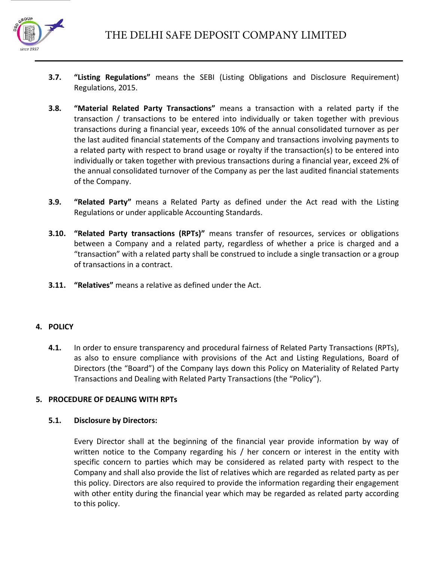

- **3.7. "Listing Regulations"** means the SEBI (Listing Obligations and Disclosure Requirement) Regulations, 2015.
- **3.8. "Material Related Party Transactions"** means a transaction with a related party if the transaction / transactions to be entered into individually or taken together with previous transactions during a financial year, exceeds 10% of the annual consolidated turnover as per the last audited financial statements of the Company and transactions involving payments to a related party with respect to brand usage or royalty if the transaction(s) to be entered into individually or taken together with previous transactions during a financial year, exceed 2% of the annual consolidated turnover of the Company as per the last audited financial statements of the Company.
- **3.9. "Related Party"** means a Related Party as defined under the Act read with the Listing Regulations or under applicable Accounting Standards.
- **3.10. "Related Party transactions (RPTs)"** means transfer of resources, services or obligations between a Company and a related party, regardless of whether a price is charged and a "transaction" with a related party shall be construed to include a single transaction or a group of transactions in a contract.
- **3.11. "Relatives"** means a relative as defined under the Act.

# **4. POLICY**

**4.1.** In order to ensure transparency and procedural fairness of Related Party Transactions (RPTs), as also to ensure compliance with provisions of the Act and Listing Regulations, Board of Directors (the "Board") of the Company lays down this Policy on Materiality of Related Party Transactions and Dealing with Related Party Transactions (the "Policy").

# **5. PROCEDURE OF DEALING WITH RPTs**

### **5.1. Disclosure by Directors:**

Every Director shall at the beginning of the financial year provide information by way of written notice to the Company regarding his / her concern or interest in the entity with specific concern to parties which may be considered as related party with respect to the Company and shall also provide the list of relatives which are regarded as related party as per this policy. Directors are also required to provide the information regarding their engagement with other entity during the financial year which may be regarded as related party according to this policy.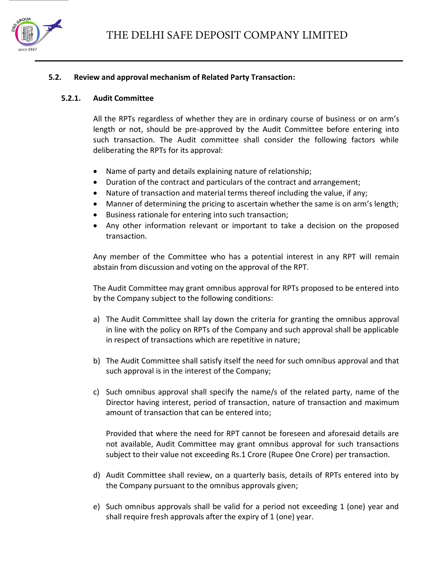

### **5.2. Review and approval mechanism of Related Party Transaction:**

#### **5.2.1. Audit Committee**

All the RPTs regardless of whether they are in ordinary course of business or on arm's length or not, should be pre-approved by the Audit Committee before entering into such transaction. The Audit committee shall consider the following factors while deliberating the RPTs for its approval:

- Name of party and details explaining nature of relationship;
- Duration of the contract and particulars of the contract and arrangement;
- Nature of transaction and material terms thereof including the value, if any;
- Manner of determining the pricing to ascertain whether the same is on arm's length;
- Business rationale for entering into such transaction;
- Any other information relevant or important to take a decision on the proposed transaction.

Any member of the Committee who has a potential interest in any RPT will remain abstain from discussion and voting on the approval of the RPT.

The Audit Committee may grant omnibus approval for RPTs proposed to be entered into by the Company subject to the following conditions:

- a) The Audit Committee shall lay down the criteria for granting the omnibus approval in line with the policy on RPTs of the Company and such approval shall be applicable in respect of transactions which are repetitive in nature;
- b) The Audit Committee shall satisfy itself the need for such omnibus approval and that such approval is in the interest of the Company;
- c) Such omnibus approval shall specify the name/s of the related party, name of the Director having interest, period of transaction, nature of transaction and maximum amount of transaction that can be entered into;

Provided that where the need for RPT cannot be foreseen and aforesaid details are not available, Audit Committee may grant omnibus approval for such transactions subject to their value not exceeding Rs.1 Crore (Rupee One Crore) per transaction.

- d) Audit Committee shall review, on a quarterly basis, details of RPTs entered into by the Company pursuant to the omnibus approvals given;
- e) Such omnibus approvals shall be valid for a period not exceeding 1 (one) year and shall require fresh approvals after the expiry of 1 (one) year.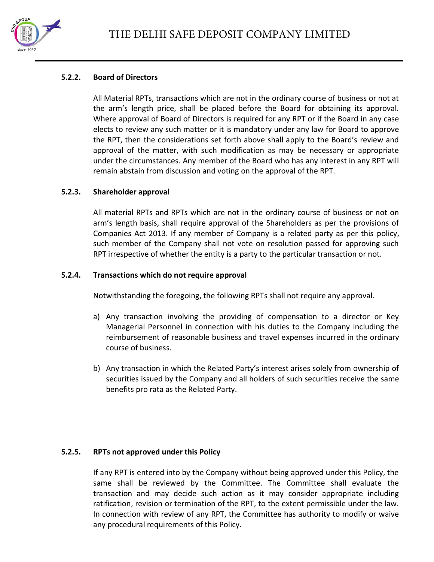

### **5.2.2. Board of Directors**

All Material RPTs, transactions which are not in the ordinary course of business or not at the arm's length price, shall be placed before the Board for obtaining its approval. Where approval of Board of Directors is required for any RPT or if the Board in any case elects to review any such matter or it is mandatory under any law for Board to approve the RPT, then the considerations set forth above shall apply to the Board's review and approval of the matter, with such modification as may be necessary or appropriate under the circumstances. Any member of the Board who has any interest in any RPT will remain abstain from discussion and voting on the approval of the RPT.

### **5.2.3. Shareholder approval**

All material RPTs and RPTs which are not in the ordinary course of business or not on arm's length basis, shall require approval of the Shareholders as per the provisions of Companies Act 2013. If any member of Company is a related party as per this policy, such member of the Company shall not vote on resolution passed for approving such RPT irrespective of whether the entity is a party to the particular transaction or not.

### **5.2.4. Transactions which do not require approval**

Notwithstanding the foregoing, the following RPTs shall not require any approval.

- a) Any transaction involving the providing of compensation to a director or Key Managerial Personnel in connection with his duties to the Company including the reimbursement of reasonable business and travel expenses incurred in the ordinary course of business.
- b) Any transaction in which the Related Party's interest arises solely from ownership of securities issued by the Company and all holders of such securities receive the same benefits pro rata as the Related Party.

# **5.2.5. RPTs not approved under this Policy**

If any RPT is entered into by the Company without being approved under this Policy, the same shall be reviewed by the Committee. The Committee shall evaluate the transaction and may decide such action as it may consider appropriate including ratification, revision or termination of the RPT, to the extent permissible under the law. In connection with review of any RPT, the Committee has authority to modify or waive any procedural requirements of this Policy.